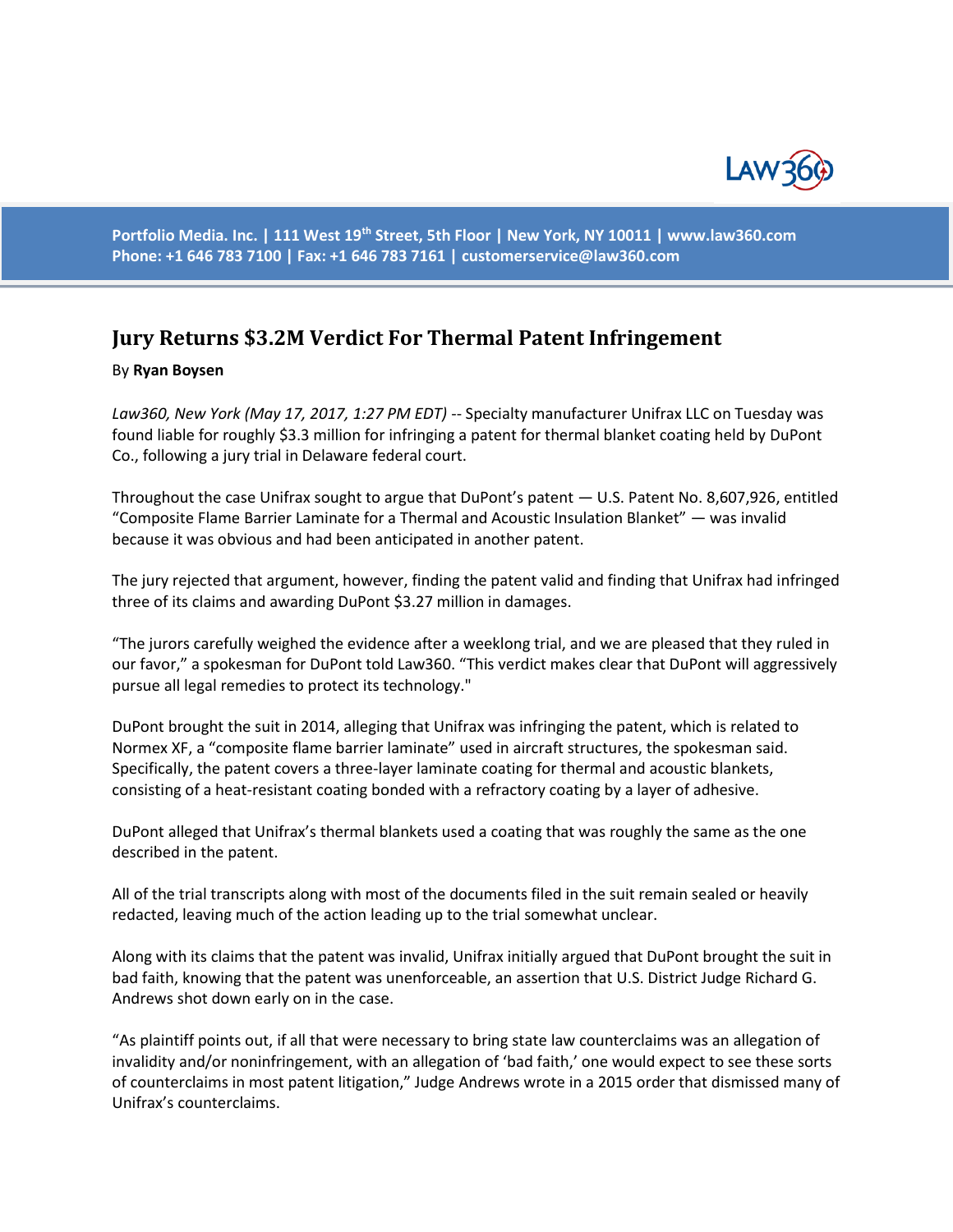

**Portfolio Media. Inc. | 111 West 19th Street, 5th Floor | New York, NY 10011 | www.law360.com Phone: +1 646 783 7100 | Fax: +1 646 783 7161 | [customerservice@law360.com](mailto:customerservice@law360.com)**

## **Jury Returns \$3.2M Verdict For Thermal Patent Infringement**

## By **Ryan Boysen**

*Law360, New York (May 17, 2017, 1:27 PM EDT)* -- Specialty manufacturer Unifrax LLC on Tuesday was found liable for roughly \$3.3 million for infringing a patent for thermal blanket coating held by DuPont Co., following a jury trial in Delaware federal court.

Throughout the case Unifrax sought to argue that DuPont's patent — U.S. Patent No. 8,607,926, entitled "Composite Flame Barrier Laminate for a Thermal and Acoustic Insulation Blanket" — was invalid because it was obvious and had been anticipated in another patent.

The jury rejected that argument, however, finding the patent valid and finding that Unifrax had infringed three of its claims and awarding DuPont \$3.27 million in damages.

"The jurors carefully weighed the evidence after a weeklong trial, and we are pleased that they ruled in our favor," a spokesman for DuPont told Law360. "This verdict makes clear that DuPont will aggressively pursue all legal remedies to protect its technology."

DuPont brought the suit in 2014, alleging that Unifrax was infringing the patent, which is related to Normex XF, a "composite flame barrier laminate" used in aircraft structures, the spokesman said. Specifically, the patent covers a three-layer laminate coating for thermal and acoustic blankets, consisting of a heat-resistant coating bonded with a refractory coating by a layer of adhesive.

DuPont alleged that Unifrax's thermal blankets used a coating that was roughly the same as the one described in the patent.

All of the trial transcripts along with most of the documents filed in the suit remain sealed or heavily redacted, leaving much of the action leading up to the trial somewhat unclear.

Along with its claims that the patent was invalid, Unifrax initially argued that DuPont brought the suit in bad faith, knowing that the patent was unenforceable, an assertion that U.S. District Judge Richard G. Andrews shot down early on in the case.

"As plaintiff points out, if all that were necessary to bring state law counterclaims was an allegation of invalidity and/or noninfringement, with an allegation of 'bad faith,' one would expect to see these sorts of counterclaims in most patent litigation," Judge Andrews wrote in a 2015 order that dismissed many of Unifrax's counterclaims.